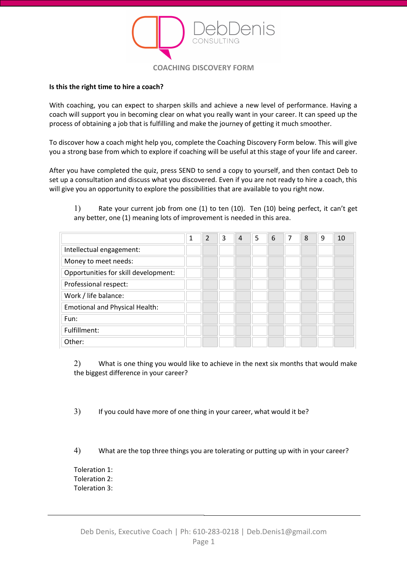

## **Is this the right time to hire a coach?**

With coaching, you can expect to sharpen skills and achieve a new level of performance. Having a coach will support you in becoming clear on what you really want in your career. It can speed up the process of obtaining a job that is fulfilling and make the journey of getting it much smoother.

To discover how a coach might help you, complete the Coaching Discovery Form below. This will give you a strong base from which to explore if coaching will be useful at this stage of your life and career.

After you have completed the quiz, press SEND to send a copy to yourself, and then contact Deb to set up a consultation and discuss what you discovered. Even if you are not ready to hire a coach, this will give you an opportunity to explore the possibilities that are available to you right now.

|                                       | 1 | $\overline{2}$ | 3 | $\overline{4}$ | 5 | 6 | 7 | 8 | 9 | 10 |
|---------------------------------------|---|----------------|---|----------------|---|---|---|---|---|----|
| Intellectual engagement:              |   |                |   |                |   |   |   |   |   |    |
| Money to meet needs:                  |   |                |   |                |   |   |   |   |   |    |
| Opportunities for skill development:  |   |                |   |                |   |   |   |   |   |    |
| Professional respect:                 |   |                |   |                |   |   |   |   |   |    |
| Work / life balance:                  |   |                |   |                |   |   |   |   |   |    |
| <b>Emotional and Physical Health:</b> |   |                |   |                |   |   |   |   |   |    |
| Fun:                                  |   |                |   |                |   |   |   |   |   |    |
| Fulfillment:                          |   |                |   |                |   |   |   |   |   |    |
| Other:                                |   |                |   |                |   |   |   |   |   |    |

1) Rate your current job from one (1) to ten (10). Ten (10) being perfect, it can't get any better, one (1) meaning lots of improvement is needed in this area.

2) What is one thing you would like to achieve in the next six months that would make the biggest difference in your career?

3) If you could have more of one thing in your career, what would it be?

4) What are the top three things you are tolerating or putting up with in your career?

Toleration 1: Toleration 2: Toleration 3: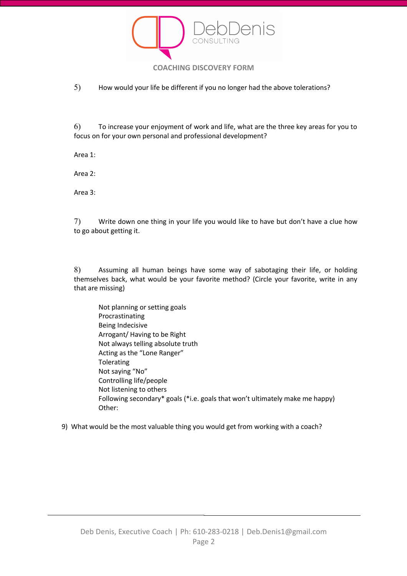

5) How would your life be different if you no longer had the above tolerations?

6) To increase your enjoyment of work and life, what are the three key areas for you to focus on for your own personal and professional development?

Area 1:

Area 2:

Area 3:

7) Write down one thing in your life you would like to have but don't have a clue how to go about getting it.

8) Assuming all human beings have some way of sabotaging their life, or holding themselves back, what would be your favorite method? (Circle your favorite, write in any that are missing)

Not planning or setting goals Procrastinating Being Indecisive Arrogant/ Having to be Right Not always telling absolute truth Acting as the "Lone Ranger" Tolerating Not saying "No" Controlling life/people Not listening to others Following secondary\* goals (\*i.e. goals that won't ultimately make me happy) Other:

9) What would be the most valuable thing you would get from working with a coach?